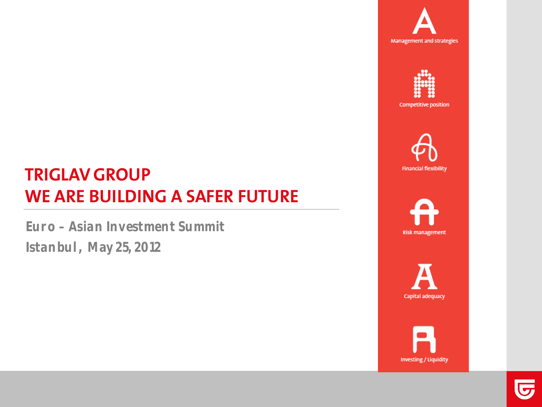





# **TRIGLAV GROUP WE ARE BUILDING A SAFER FUTURE**

**Euro – Asian Investment Summit Istanbul, May 25, 2012**





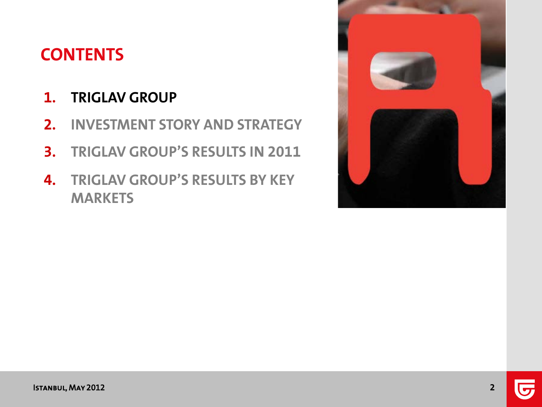# **CONTENTS**

### **1. TRIGLAV GROUP**

- **2. INVESTMENT STORY AND STRATEGY**
- **3. TRIGLAV GROUP'S RESULTS IN 2011**
- **4. TRIGLAV GROUP'S RESULTS BY KEY MARKETS**

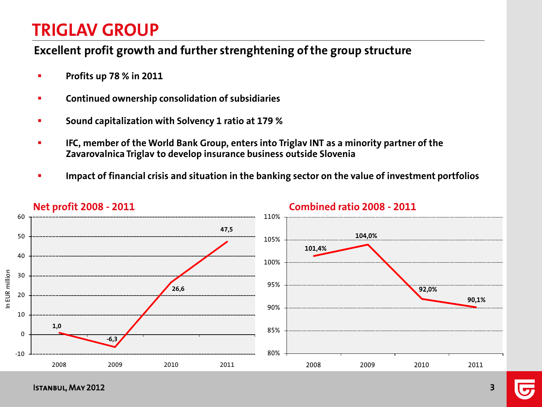#### **Excellent profit growth and further strenghtening of the group structure**

- **Profits up 78 % in 2011**
- **EXECONTIFY CONTINUED OWNERSHIP CONSOLIGATION OF SUBSIDIATIES**
- **Sound capitalization with Solvency 1 ratio at 179 %**
- **IFC, member of the World Bank Group, enters into Triglav INT as a minority partner of the Zavarovalnica Triglav to develop insurance business outside Slovenia**
- **Impact of financial crisis and situation in the banking sector on the value of investment portfolios**



**Net profit 2008 - 2011 Combined ratio 2008 - 2011**

Istanbul, May 2012 **3**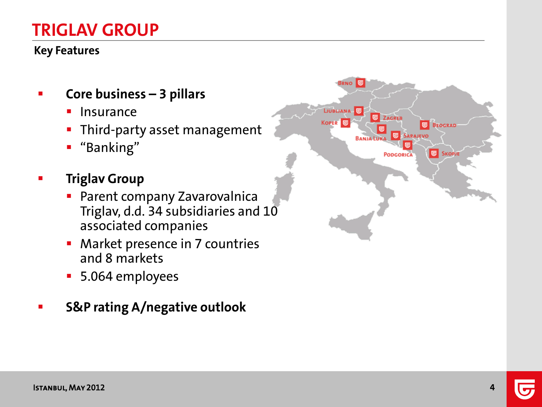#### **Key Features**

- **Core business – 3 pillars**
	- **Insurance**
	- **Third-party asset management**
	- "Banking"
- **Figlav** Group
	- **Parent company Zavarovalnica** Triglav, d.d. 34 subsidiaries and 10 associated companies
	- **Market presence in 7 countries** and 8 markets
	- 5.064 employees
- **S&P rating A/negative outlook**

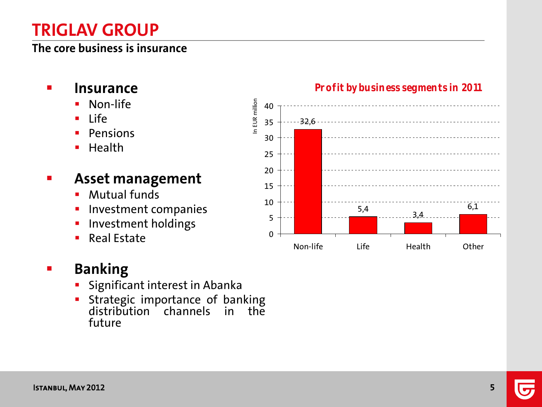#### **The core business is insurance**

- **Insurance**
	- Non-life
	- $Life$
	- Pensions
	- $\blacksquare$  Health

### **Asset management**

- **Mutual funds**
- Investment companies
- **Investment holdings**
- Real Estate

### **Banking**

- Significant interest in Abanka
- Strategic importance of banking distribution channels in the future



#### **Profit by business segments in 2011**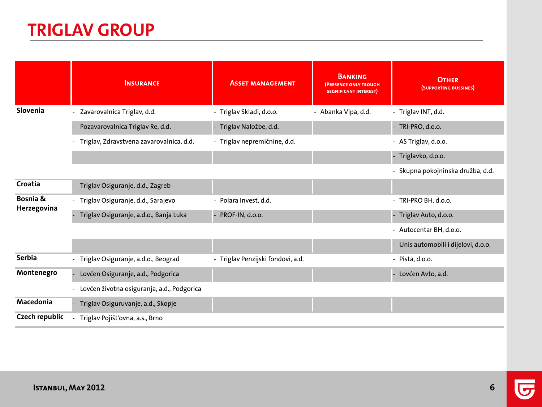|                         | <b>INSURANCE</b>                             | <b>ASSET MANAGEMENT</b>           | <b>BANKING</b><br><b>(PRESENCE ONLY TROUGH</b><br><b>SEGNIFICANT INTEREST)</b> | <b>OTHER</b><br>(SUPPORTING BUSSINES) |
|-------------------------|----------------------------------------------|-----------------------------------|--------------------------------------------------------------------------------|---------------------------------------|
| Slovenia                | - Zavarovalnica Triglav, d.d.                | - Triglav Skladi, d.o.o.          | - Abanka Vipa, d.d.                                                            | - Triglav INT, d.d.                   |
|                         | Pozavarovalnica Triglav Re, d.d.             | Triglav Naložbe, d.d.             |                                                                                | - TRI-PRO, d.o.o.                     |
|                         | - Triglav, Zdravstvena zavarovalnica, d.d.   | - Triglav nepremičnine, d.d.      |                                                                                | - AS Triglav, d.o.o.                  |
|                         |                                              |                                   |                                                                                | - Triglavko, d.o.o.                   |
|                         |                                              |                                   |                                                                                | - Skupna pokojninska družba, d.d.     |
| Croatia                 | Triglav Osiguranje, d.d., Zagreb             |                                   |                                                                                |                                       |
| Bosnia &<br>Herzegovina | - Triglav Osiguranje, d.d., Sarajevo         | - Polara Invest, d.d.             |                                                                                | - TRI-PRO BH, d.o.o.                  |
|                         | Triglav Osiguranje, a.d.o., Banja Luka       | PROF-IN, d.o.o.                   |                                                                                | - Triglav Auto, d.o.o.                |
|                         |                                              |                                   |                                                                                | - Autocentar BH, d.o.o.               |
|                         |                                              |                                   |                                                                                | - Unis automobili i dijelovi, d.o.o.  |
| <b>Serbia</b>           | - Triglav Osiguranje, a.d.o., Beograd        | - Triglav Penzijski fondovi, a.d. |                                                                                | - Pista, d.o.o.                       |
| Montenegro              | Lovćen Osiguranje, a.d., Podgorica           |                                   |                                                                                | - Lovćen Avto, a.d.                   |
|                         | - Lovćen životna osiguranja, a.d., Podgorica |                                   |                                                                                |                                       |
| Macedonia               | Triglav Osiguruvanje, a.d., Skopje           |                                   |                                                                                |                                       |
| <b>Czech republic</b>   | Triglav Pojišťovna, a.s., Brno               |                                   |                                                                                |                                       |

 $\overline{\mathbf{v}}$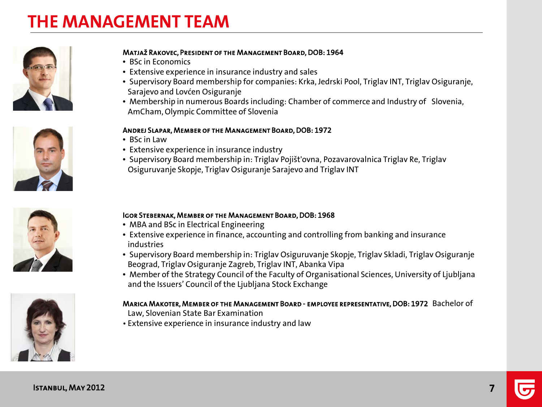# **THE MANAGEMENT TEAM**









#### Matjaž Rakovec, President of the Management Board, DOB: 1964

- BSc in Economics
- Extensive experience in insurance industry and sales
- Supervisory Board membership for companies: Krka, Jedrski Pool, Triglav INT, Triglav Osiguranje, Sarajevo and Lovćen Osiguranje
- Membership in numerous Boards including: Chamber of commerce and Industry of Slovenia, AmCham, Olympic Committee of Slovenia

#### Andrej Slapar, Member of the Management Board, DOB: 1972

- BSc in Law
- Extensive experience in insurance industry
- Supervisory Board membership in: Triglav Pojišt'ovna, Pozavarovalnica Triglav Re, Triglav Osiguruvanje Skopje, Triglav Osiguranje Sarajevo and Triglav INT

#### Igor Stebernak, Member of the Management Board, DOB: 1968

- MBA and BSc in Electrical Engineering
- Extensive experience in finance, accounting and controlling from banking and insurance industries
- Supervisory Board membership in: Triglav Osiguruvanje Skopje, Triglav Skladi, Triglav Osiguranje Beograd, Triglav Osiguranje Zagreb, Triglav INT, Abanka Vipa
- Member of the Strategy Council of the Faculty of Organisational Sciences, University of Ljubljana and the Issuers' Council of the Ljubljana Stock Exchange

#### Marica Makoter, Member of the Management Board - employee representative, DOB: 1972 Bachelor of

- Law, Slovenian State Bar Examination
- Extensive experience in insurance industry and law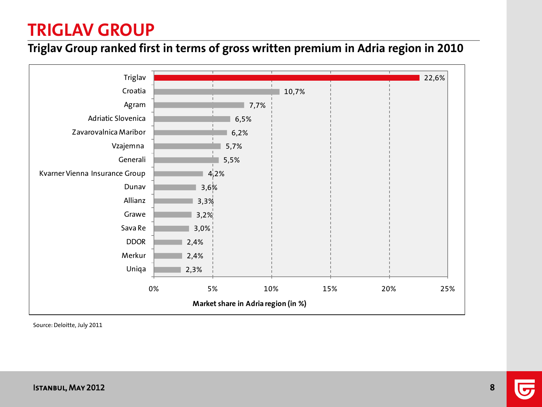#### **Triglav Group ranked first in terms of gross written premium in Adria region in 2010**



Source: Deloitte, July 2011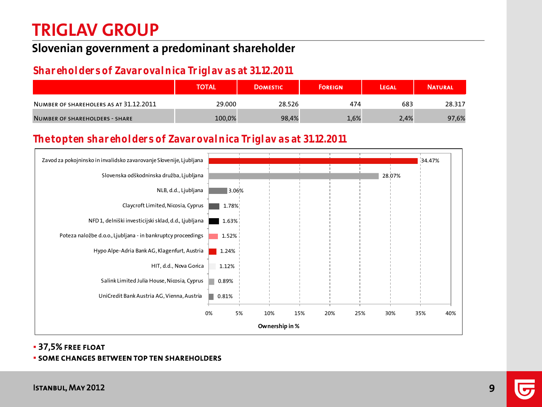#### **Slovenian government a predominant shareholder**

#### **Shareholders of Zavarovalnica Triglav as at 31.12.2011**

|                                        | <b>TOTAL</b> | <b>DOMESTIC</b> | <b>FOREIGN</b> | LEGAL | <b>NATURAL</b> |
|----------------------------------------|--------------|-----------------|----------------|-------|----------------|
| NUMBER OF SHAREHOLERS AS AT 31.12.2011 | 29.000       | 28.526          | 474            | 683   | 28.317         |
| NUMBER OF SHAREHOLDERS - SHARE         | 100,0%       | 98,4%           | 1,6%           | 2,4%  | 97,6%          |

#### **The top ten shareholders of Zavarovalnica Triglav as at 31.12.2011**



37,5% free float

#### some changes between top ten shareholders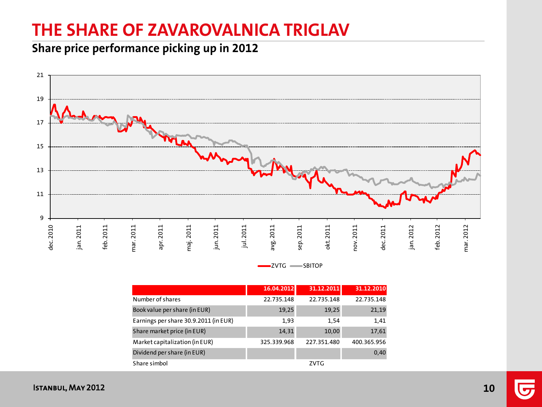# **THE SHARE OF ZAVAROVALNICA TRIGLAV**

#### **Share price performance picking up in 2012**





|                                       | 16.04.2012  | 31.12.2011  | 31.12.2010  |
|---------------------------------------|-------------|-------------|-------------|
| Number of shares                      | 22.735.148  | 22.735.148  | 22.735.148  |
| Book value per share (in EUR)         | 19,25       | 19,25       | 21,19       |
| Earnings per share 30.9.2011 (in EUR) | 1,93        | 1.54        | 1,41        |
| Share market price (in EUR)           | 14,31       | 10,00       | 17,61       |
| Market capitalization (in EUR)        | 325.339.968 | 227.351.480 | 400.365.956 |
| Dividend per share (in EUR)           |             |             | 0,40        |
| Share simbol                          |             | ZVTG        |             |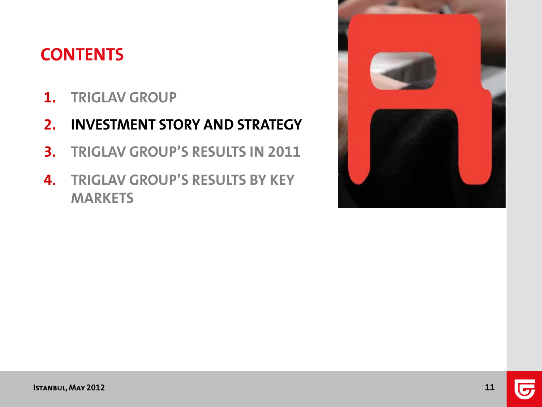# **CONTENTS**

- **1. TRIGLAV GROUP**
- **2. INVESTMENT STORY AND STRATEGY**
- **3. TRIGLAV GROUP'S RESULTS IN 2011**
- **4. TRIGLAV GROUP'S RESULTS BY KEY MARKETS**

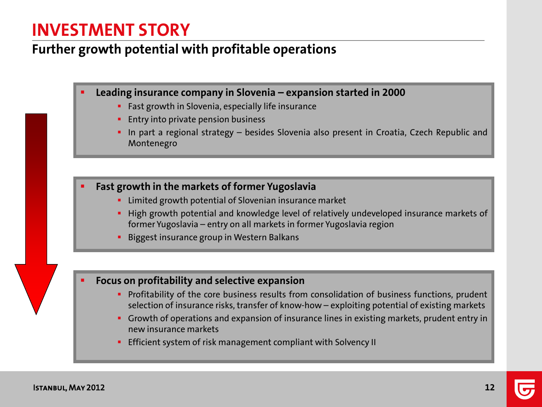### **INVESTMENT STORY**

#### **Further growth potential with profitable operations**

- **Leading insurance company in Slovenia – expansion started in 2000**
	- **Fast growth in Slovenia, especially life insurance**
	- **Entry into private pension business**
	- In part a regional strategy besides Slovenia also present in Croatia, Czech Republic and Montenegro
- **Fast growth in the markets of former Yugoslavia**
	- **EXTE:** Limited growth potential of Slovenian insurance market
	- **High growth potential and knowledge level of relatively undeveloped insurance markets of** former Yugoslavia – entry on all markets in former Yugoslavia region
	- Biggest insurance group in Western Balkans

#### **Focus on profitability and selective expansion**

- **Profitability of the core business results from consolidation of business functions, prudent** selection of insurance risks, transfer of know-how – exploiting potential of existing markets
- **Growth of operations and expansion of insurance lines in existing markets, prudent entry in** new insurance markets
- **Efficient system of risk management compliant with Solvency II**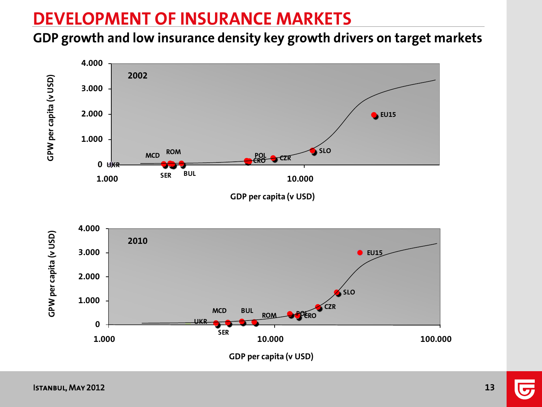# **DEVELOPMENT OF INSURANCE MARKETS**

#### **GDP growth and low insurance density key growth drivers on target markets**

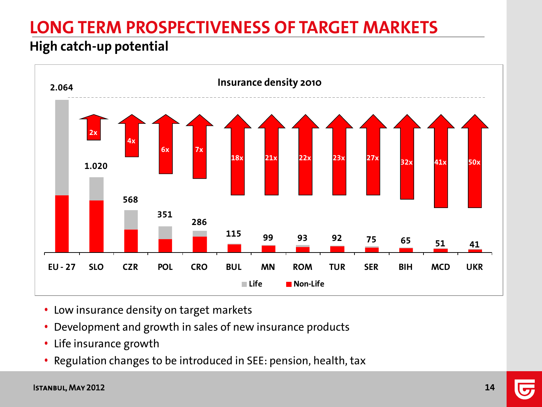# **LONG TERM PROSPECTIVENESS OF TARGET MARKETS**

### **High catch-up potential**



- Low insurance density on target markets
- Development and growth in sales of new insurance products
- Life insurance growth
- Regulation changes to be introduced in SEE: pension, health, tax

#### Istanbul, May 2012 **14**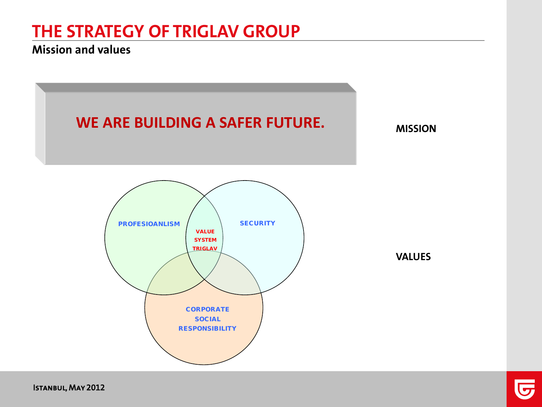#### **Mission and values**

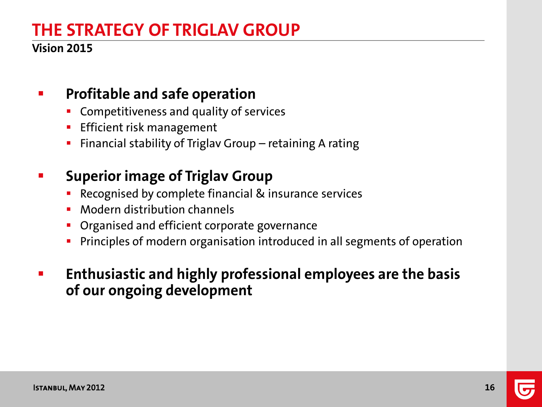#### **Vision 2015**

### **Profitable and safe operation**

- Competitiveness and quality of services
- **Efficient risk management**
- Financial stability of Triglav Group retaining A rating

### **Fig. 3 Superior image of Triglav Group**

- **Recognised by complete financial & insurance services**
- **Modern distribution channels**
- **Organised and efficient corporate governance**
- **Principles of modern organisation introduced in all segments of operation**
- **Enthusiastic and highly professional employees are the basis of our ongoing development**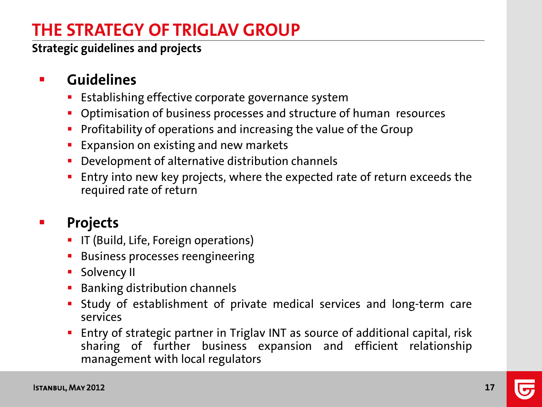**Strategic guidelines and projects**

### **E** Guidelines

- Establishing effective corporate governance system
- **Optimisation of business processes and structure of human resources**
- **Profitability of operations and increasing the value of the Group**
- **Expansion on existing and new markets**
- **Development of alternative distribution channels**
- **Entry into new key projects, where the expected rate of return exceeds the** required rate of return

### **Projects**

- **IF (Build, Life, Foreign operations)**
- **Business processes reengineering**
- **Solvency II**
- **Banking distribution channels**
- Study of establishment of private medical services and long-term care services
- Entry of strategic partner in Triglav INT as source of additional capital, risk sharing of further business expansion and efficient relationship management with local regulators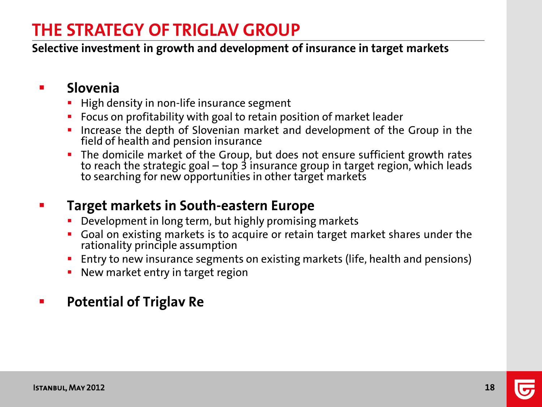**Selective investment in growth and development of insurance in target markets**

#### **Slovenia**

- **High density in non-life insurance segment**
- **FIDU** Focus on profitability with goal to retain position of market leader
- **Increase the depth of Slovenian market and development of the Group in the** field of health and pension insurance
- The domicile market of the Group, but does not ensure sufficient growth rates to reach the strategic goal – top 3 insurance group in target region, which leads to searching for new opportunities in other target markets

### **Target markets in South-eastern Europe**

- **•** Development in long term, but highly promising markets
- **Goal on existing markets is to acquire or retain target market shares under the** rationality principle assumption
- **Entry to new insurance segments on existing markets (life, health and pensions)**
- New market entry in target region

### **Figure 21 Potential of Triglav Re**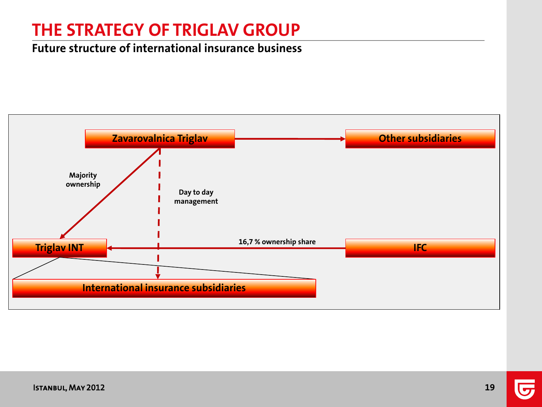#### **Future structure of international insurance business**

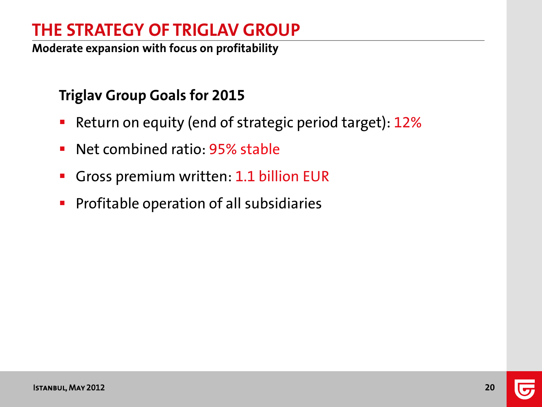**Moderate expansion with focus on profitability**

### **Triglav Group Goals for 2015**

- **Return on equity (end of strategic period target): 12%**
- **Net combined ratio: 95% stable**
- Gross premium written: 1.1 billion EUR
- **Profitable operation of all subsidiaries**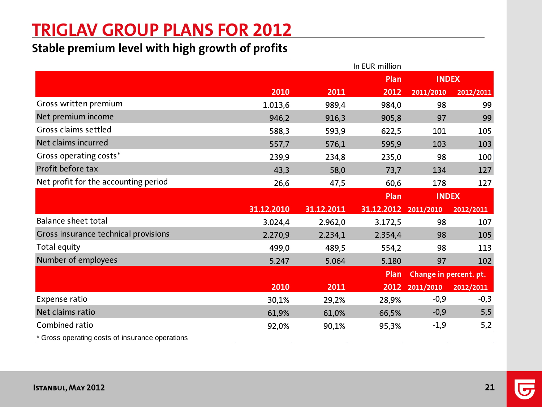# **TRIGLAV GROUP PLANS FOR 2012**

#### **Stable premium level with high growth of profits**

|                                      |            |            | In EUR million |                        |           |
|--------------------------------------|------------|------------|----------------|------------------------|-----------|
|                                      |            |            | Plan           | <b>INDEX</b>           |           |
|                                      | 2010       | 2011       | 2012           | 2011/2010              | 2012/2011 |
| Gross written premium                | 1.013,6    | 989,4      | 984,0          | 98                     | 99        |
| Net premium income                   | 946,2      | 916,3      | 905,8          | 97                     | 99        |
| Gross claims settled                 | 588,3      | 593,9      | 622,5          | 101                    | 105       |
| Net claims incurred                  | 557,7      | 576,1      | 595,9          | 103                    | 103       |
| Gross operating costs*               | 239,9      | 234,8      | 235,0          | 98                     | 100       |
| Profit before tax                    | 43,3       | 58,0       | 73,7           | 134                    | 127       |
| Net profit for the accounting period | 26,6       | 47,5       | 60,6           | 178                    | 127       |
|                                      |            |            | Plan           | <b>INDEX</b>           |           |
|                                      |            |            |                |                        |           |
|                                      | 31.12.2010 | 31.12.2011 | 31.12.2012     | 2011/2010              | 2012/2011 |
| Balance sheet total                  | 3.024,4    | 2.962,0    | 3.172,5        | 98                     | 107       |
| Gross insurance technical provisions | 2.270,9    | 2.234,1    | 2.354,4        | 98                     | 105       |
| Total equity                         | 499,0      | 489,5      | 554,2          | 98                     | 113       |
| Number of employees                  | 5.247      | 5.064      | 5.180          | 97                     | 102       |
|                                      |            |            | Plan           | Change in percent. pt. |           |
|                                      | 2010       | 2011       | 2012           | 2011/2010              | 2012/2011 |
| Expense ratio                        | 30,1%      | 29,2%      | 28,9%          | $-0,9$                 | $-0,3$    |
| Net claims ratio                     | 61,9%      | 61,0%      | 66,5%          | $-0,9$                 | 5,5       |
| Combined ratio                       | 92,0%      | 90,1%      | 95,3%          | $-1,9$                 | 5,2       |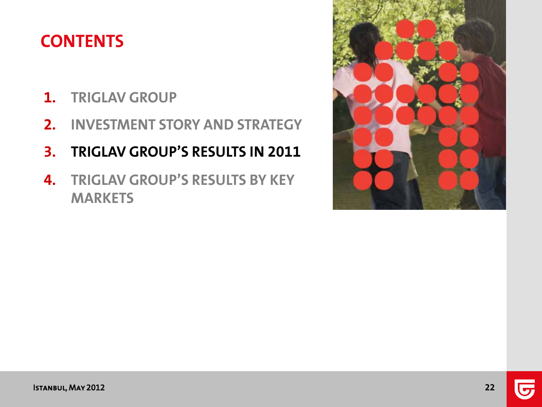# **CONTENTS**

- **1. TRIGLAV GROUP**
- **2. INVESTMENT STORY AND STRATEGY**
- **3. TRIGLAV GROUP'S RESULTS IN 2011**
- **4. TRIGLAV GROUP'S RESULTS BY KEY MARKETS**

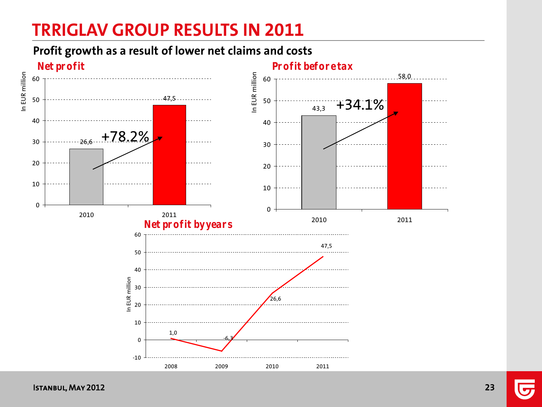# **TRRIGLAV GROUP RESULTS IN 2011**

#### **Profit growth as a result of lower net claims and costs**



Istanbul, May 2012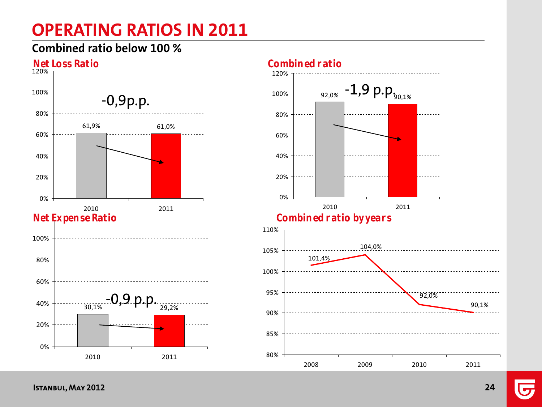# **OPERATING RATIOS IN 2011**

#### **Combined ratio below 100 %**



90,1%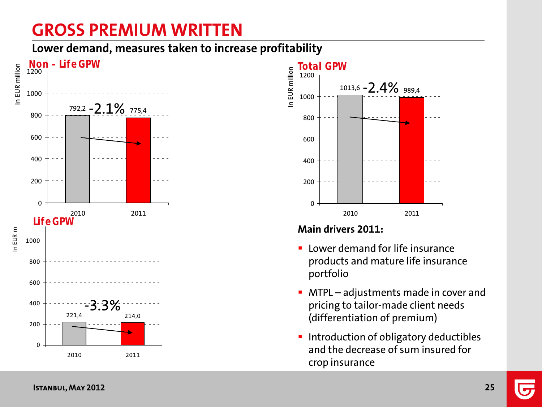# **GROSS PREMIUM WRITTEN**

**Lower demand, measures taken to increase profitability** 





#### **Main drivers 2011:**

- **E** Lower demand for life insurance products and mature life insurance portfolio
- **MTPL** adjustments made in cover and pricing to tailor-made client needs (differentiation of premium)
- **Introduction of obligatory deductibles** and the decrease of sum insured for crop insurance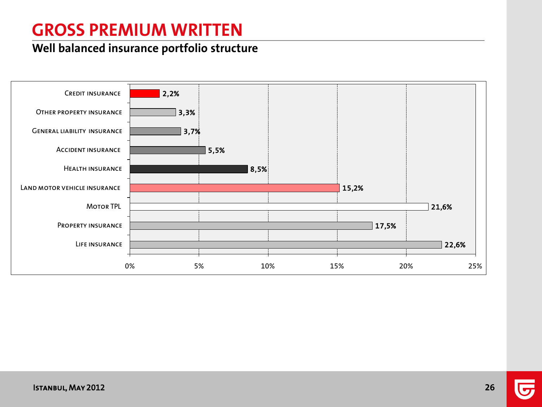# **GROSS PREMIUM WRITTEN**

#### **Well balanced insurance portfolio structure**

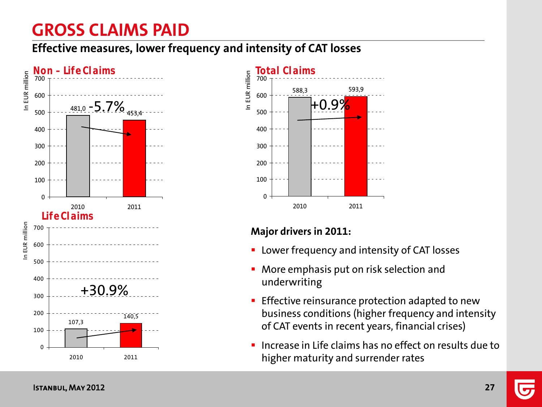# **GROSS CLAIMS PAID**

**Effective measures, lower frequency and intensity of CAT losses**





#### **Major drivers in 2011:**

- **EX Lower frequency and intensity of CAT losses**
- More emphasis put on risk selection and underwriting
- **Effective reinsurance protection adapted to new** business conditions (higher frequency and intensity of CAT events in recent years, financial crises)
- Increase in Life claims has no effect on results due to higher maturity and surrender rates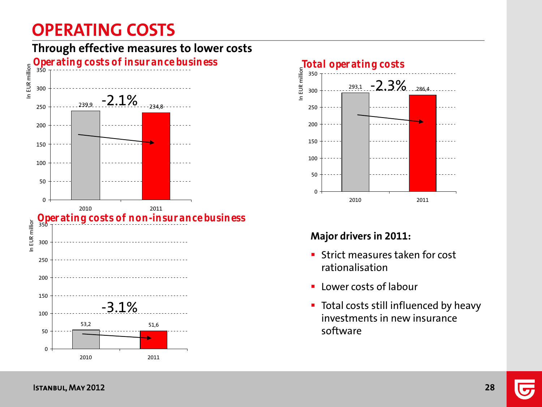# **OPERATING COSTS**







#### **Major drivers in 2011:**

- **Strict measures taken for cost** rationalisation
- **-** Lower costs of labour
- **Total costs still influenced by heavy** investments in new insurance software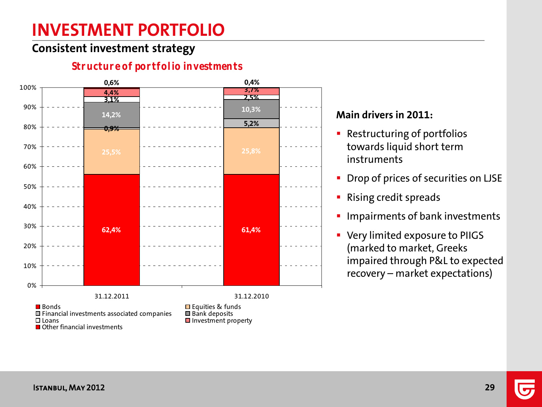# **INVESTMENT PORTFOLIO**

#### **Consistent investment strategy**

#### **62,4% 61,4% 25,5% 25,8% 0,9% 5,2% 14,2% 10,3% 3,1% 2,5% 4,4% 3,7% 0,6% 0,4%** 0% 10% 20% 30% 40% 50% 60% 70% 80% 90% 100% 31.12.2011 31.12.2010 **Bonds Equities & funds**<br> **Example 3** Financial investments associated companies **Example 3** Bank deposits  $\Box$  Financial investments associated companies  $\Box$  I pans  $\blacksquare$  Investment property **■** Other financial investments

#### **Structure of portfolio investments**

#### **Main drivers in 2011:**

- **Restructuring of portfolios** towards liquid short term instruments
- **Drop of prices of securities on LJSE**
- **Rising credit spreads**
- **Impairments of bank investments**
- **Very limited exposure to PIIGS** (marked to market, Greeks impaired through P&L to expected recovery – market expectations)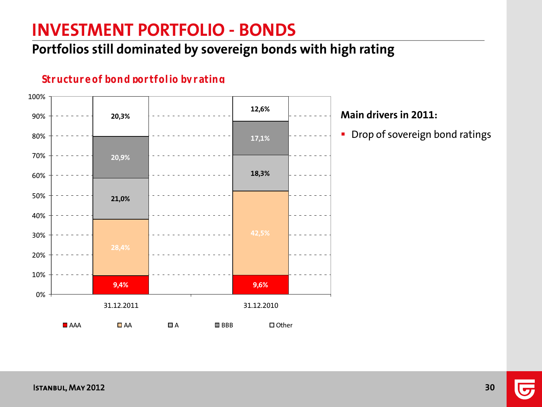### **INVESTMENT PORTFOLIO - BONDS**

### **Portfolios still dominated by sovereign bonds with high rating**

#### **Structure of bond portfolio by rating**



#### **Main drivers in 2011:**

**•** Drop of sovereign bond ratings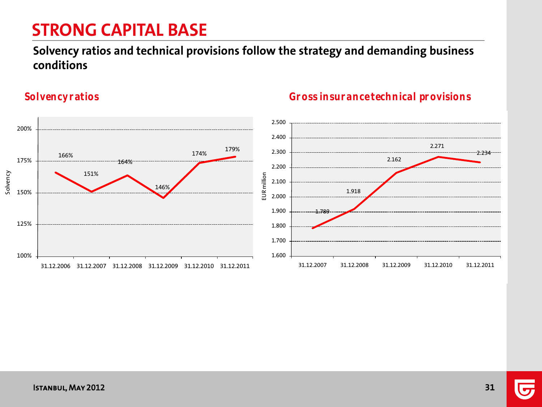# **STRONG CAPITAL BASE**

#### **Solvency ratios and technical provisions follow the strategy and demanding business conditions**

Solvency



#### **Solvency ratios Gross insurance technical provisions**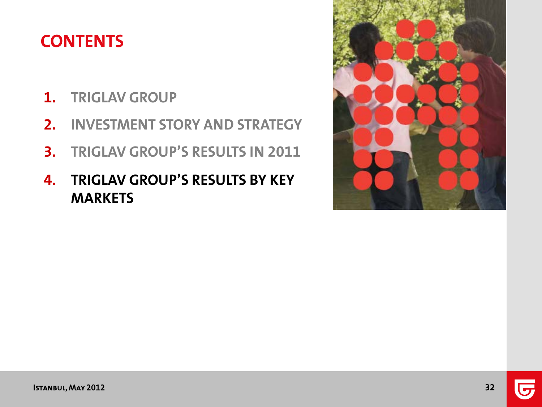# **CONTENTS**

- **1. TRIGLAV GROUP**
- **2. INVESTMENT STORY AND STRATEGY**
- **3. TRIGLAV GROUP'S RESULTS IN 2011**
- **4. TRIGLAV GROUP'S RESULTS BY KEY MARKETS**

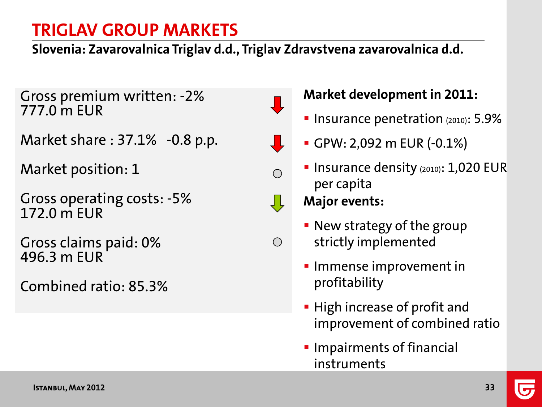**Slovenia: Zavarovalnica Triglav d.d., Triglav Zdravstvena zavarovalnica d.d.**

Gross premium written: -2% 777.0 m EUR

Market share : 37.1% -0.8 p.p.

Market position: 1

Gross operating costs: -5% 172.0 m EUR

Gross claims paid: 0% 496.3 m EUR

Combined ratio: 85.3%



 $\bigcirc$ 

### **Market development in 2011:**

- **Insurance penetration (2010): 5.9%**
- GPW: 2,092 m EUR (-0.1%)
- **Insurance density (2010): 1,020 EUR** per capita

- **New strategy of the group** strictly implemented
- **Immense improvement in** profitability
- **High increase of profit and** improvement of combined ratio
- **Impairments of financial** instruments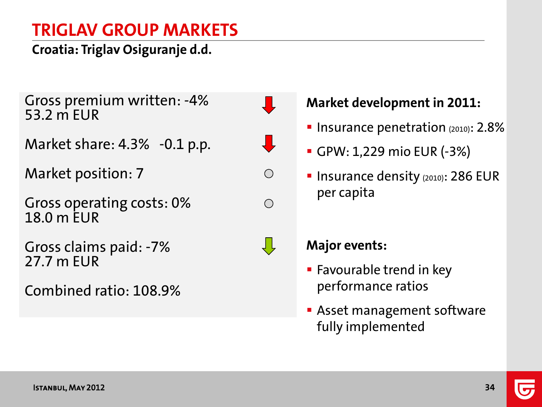**Croatia: Triglav Osiguranje d.d.**

Gross premium written: -4% 53.2 m EUR

Market share: 4.3% -0.1 p.p.

Market position: 7

Gross operating costs: 0% 18.0 m EUR

Gross claims paid: -7% 27.7 m EUR

Combined ratio: 108.9%



 $\bigcirc$ 

₹Ļ

### **Market development in 2011:**

- **Insurance penetration**  $(2010)$ : 2.8%
- GPW: 1,229 mio EUR (-3%)
- **Insurance density (2010): 286 EUR** per capita



- **Favourable trend in key** performance ratios
- **Asset management software** fully implemented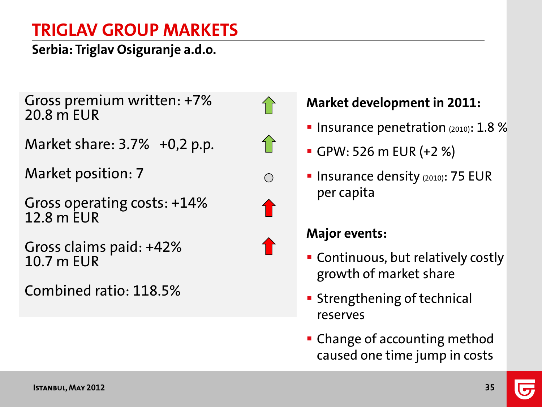**Serbia: Triglav Osiguranje a.d.o.**

Gross premium written: +7% 20.8 m EUR

Market share: 3.7% +0,2 p.p.

Market position: 7

Gross operating costs: +14% 12.8 m EUR

Gross claims paid: +42% 10.7 m EUR

Combined ratio: 118.5%





# **Market development in 2011:**

- **Insurance penetration**  $(2010)$ : 1.8 %
- GPW: 526 m EUR (+2 %)
- **Insurance density (2010): 75 EUR** per capita

- Continuous, but relatively costly growth of market share
- **Strengthening of technical** reserves
- **Change of accounting method** caused one time jump in costs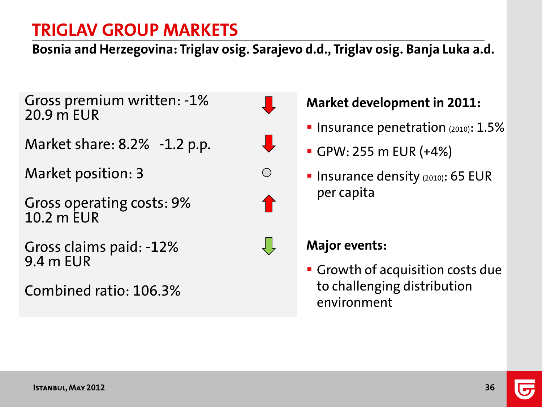**Bosnia and Herzegovina: Triglav osig. Sarajevo d.d., Triglav osig. Banja Luka a.d.**

Gross premium written: -1% 20.9 m EUR

Market share: 8.2% -1.2 p.p.

Market position: 3

Gross operating costs: 9% 10.2 m EUR

Gross claims paid: -12% 9.4 m EUR

Combined ratio: 106.3%





 $\bigcirc$ 



### **Market development in 2011:**

- **Insurance penetration**  $(2010)$ :  $1.5\%$
- GPW: 255 m EUR (+4%)
- **Insurance density (2010): 65 EUR** per capita

### **Major events:**

**Growth of acquisition costs due** to challenging distribution environment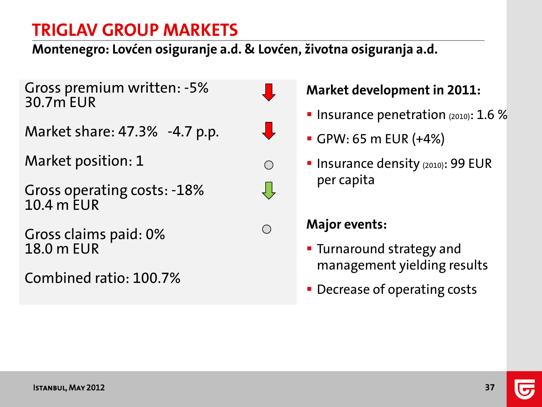**Montenegro: Lovćen osiguranje a.d. & Lovćen, životna osiguranja a.d.**

 $\frac{1}{\sqrt{2}}$ 

 $\bigcirc$ 

ĮĻ

 $\bigcirc$ 

Gross premium written: -5% 30.7m EUR

Market share: 47.3% -4.7 p.p.

Market position: 1

Gross operating costs: -18% 10.4 m EUR

Gross claims paid: 0% 18.0 m EUR

Combined ratio: 100.7%



- **Insurance penetration**  $(2010)$ : 1.6 %
- GPW: 65 m EUR (+4%)
- **Insurance density (2010): 99 EUR** per capita

- **Turnaround strategy and** management yielding results
- **Decrease of operating costs**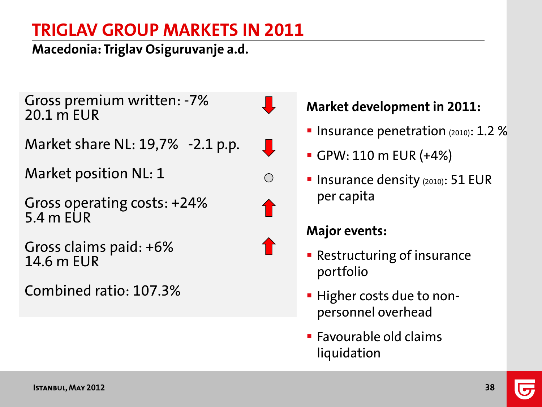**Macedonia: Triglav Osiguruvanje a.d.**

Gross premium written: -7% 20.1 m EUR

Market share NL: 19,7% -2.1 p.p.

Market position NL: 1

Gross operating costs: +24% 5.4 m EUR

Gross claims paid: +6% 14.6 m EUR

Combined ratio: 107.3%

### **Market development in 2011:**

- Insurance penetration  $(2010)$ : 1.2 %
- GPW: 110 m EUR (+4%)
- **Insurance density (2010): 51 EUR** per capita

### **Major events:**

- **Restructuring of insurance** portfolio
- **Higher costs due to non**personnel overhead
- **Favourable old claims** liquidation



 $\bigcirc$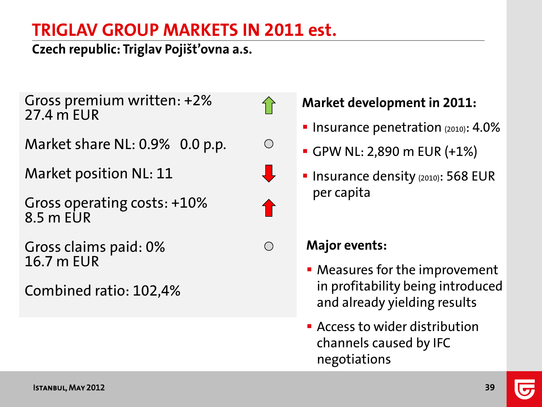# **TRIGLAV GROUP MARKETS IN 2011 est.**

 $\bigcap$ 

 $\bigcirc$ 

 $\bigcirc$ 

**Czech republic: Triglav Pojišt'ovna a.s.**

Gross premium written: +2% 27.4 m EUR

Market share NL: 0.9% 0.0 p.p.

Market position NL: 11

Gross operating costs: +10% 8.5 m EUR

Gross claims paid: 0% 16.7 m EUR

Combined ratio: 102,4%

**Market development in 2011:**

- **Insurance penetration**  $(2010)$ : 4.0%
- GPW NL: 2,890 m EUR (+1%)
- **Insurance density (2010): 568 EUR** per capita

- Measures for the improvement in profitability being introduced and already yielding results
- **EX Access to wider distribution** channels caused by IFC negotiations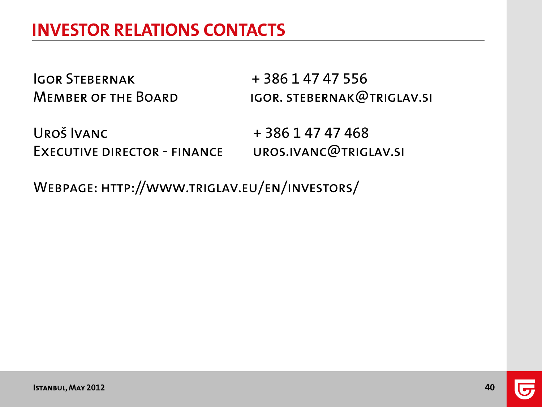Igor Stebernak + 386 1 47 47 556

MEMBER OF THE BOARD IGOR. STEBERNAK@TRIGLAV.SI

UROŠ IVANC + 386 1 47 47 468 Executive director - finance uros.ivanc@triglav.si

Webpage: http://www.triglav.eu/en/investors/